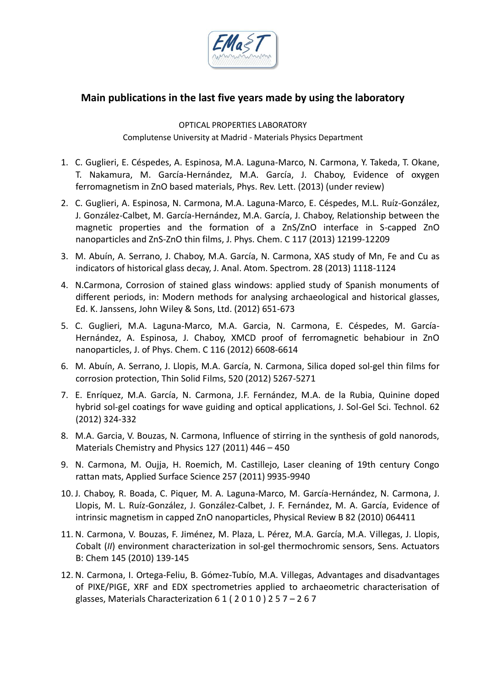

## **Main publications in the last five years made by using the laboratory**

OPTICAL PROPERTIES LABORATORY Complutense University at Madrid - Materials Physics Department

- 1. C. Guglieri, E. Céspedes, A. Espinosa, M.A. Laguna-Marco, N. Carmona, Y. Takeda, T. Okane, T. Nakamura, M. García-Hernández, M.A. García, J. Chaboy, Evidence of oxygen ferromagnetism in ZnO based materials, Phys. Rev. Lett. (2013) (under review)
- 2. C. Guglieri, A. Espinosa, N. Carmona, M.A. Laguna-Marco, E. Céspedes, M.L. Ruíz-González, J. González-Calbet, M. García-Hernández, M.A. García, J. Chaboy, Relationship between the magnetic properties and the formation of a ZnS/ZnO interface in S-capped ZnO nanoparticles and ZnS-ZnO thin films, J. Phys. Chem. C 117 (2013) 12199-12209
- 3. M. Abuín, A. Serrano, J. Chaboy, M.A. García, N. Carmona, XAS study of Mn, Fe and Cu as indicators of historical glass decay, J. Anal. Atom. Spectrom. 28 (2013) 1118-1124
- 4. N.Carmona, Corrosion of stained glass windows: applied study of Spanish monuments of different periods, in: Modern methods for analysing archaeological and historical glasses, Ed. K. Janssens, John Wiley & Sons, Ltd. (2012) 651-673
- 5. C. Guglieri, M.A. Laguna-Marco, M.A. Garcia, N. Carmona, E. Céspedes, M. García-Hernández, A. Espinosa, J. Chaboy, XMCD proof of ferromagnetic behabiour in ZnO nanoparticles, J. of Phys. Chem. C 116 (2012) 6608-6614
- 6. M. Abuín, A. Serrano, J. Llopis, M.A. García, N. Carmona, Silica doped sol-gel thin films for corrosion protection, Thin Solid Films, 520 (2012) 5267-5271
- 7. E. Enríquez, M.A. García, N. Carmona, J.F. Fernández, M.A. de la Rubia, Quinine doped hybrid sol-gel coatings for wave guiding and optical applications, J. Sol-Gel Sci. Technol. 62 (2012) 324-332
- 8. M.A. Garcia, V. Bouzas, N. Carmona, Influence of stirring in the synthesis of gold nanorods, Materials Chemistry and Physics 127 (2011) 446 – 450
- 9. N. Carmona, M. Oujja, H. Roemich, M. Castillejo, Laser cleaning of 19th century Congo rattan mats, Applied Surface Science 257 (2011) 9935-9940
- 10. J. Chaboy, R. Boada, C. Piquer, M. A. Laguna-Marco, M. García-Hernández, N. Carmona, J. Llopis, M. L. Ruíz-González, J. González-Calbet, J. F. Fernández, M. A. García, Evidence of intrinsic magnetism in capped ZnO nanoparticles, Physical Review B 82 (2010) 064411
- 11. N. Carmona, V. Bouzas, F. Jiménez, M. Plaza, L. Pérez, M.A. García, M.A. Villegas, J. Llopis, *C*obalt (*II*) environment characterization in sol-gel thermochromic sensors, Sens. Actuators B: Chem 145 (2010) 139-145
- 12. N. Carmona, I. Ortega-Feliu, B. Gómez-Tubío, M.A. Villegas, Advantages and disadvantages of PIXE/PIGE, XRF and EDX spectrometries applied to archaeometric characterisation of glasses, Materials Characterization  $61(2010)257 - 267$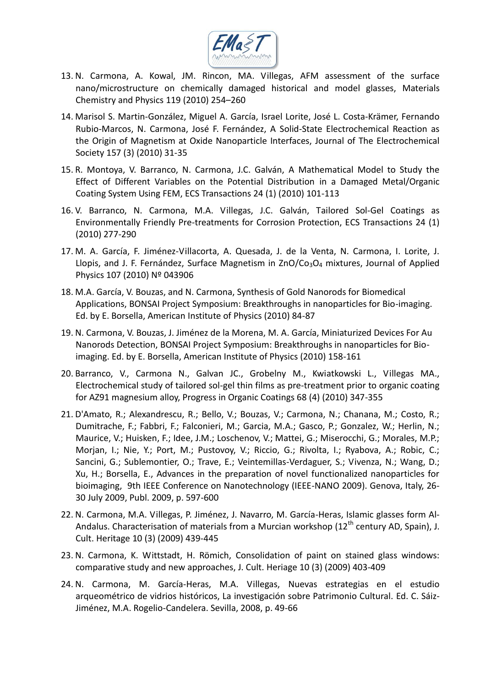

- 13. N. Carmona, A. Kowal, JM. Rincon, MA. Villegas, AFM assessment of the surface nano/microstructure on chemically damaged historical and model glasses, Materials Chemistry and Physics 119 (2010) 254–260
- 14. Marisol S. Martin-González, Miguel A. García, Israel Lorite, José L. Costa-Krämer, Fernando Rubio-Marcos, N. Carmona, José F. Fernández, A Solid-State Electrochemical Reaction as the Origin of Magnetism at Oxide Nanoparticle Interfaces, Journal of The Electrochemical Society 157 (3) (2010) 31-35
- 15. R. Montoya, V. Barranco, N. Carmona, J.C. Galván, A Mathematical Model to Study the Effect of Different Variables on the Potential Distribution in a Damaged Metal/Organic Coating System Using FEM, ECS Transactions 24 (1) (2010) 101-113
- 16. V. Barranco, N. Carmona, M.A. Villegas, J.C. Galván, Tailored Sol-Gel Coatings as Environmentally Friendly Pre-treatments for Corrosion Protection, ECS Transactions 24 (1) (2010) 277-290
- 17. M. A. García, F. Jiménez-Villacorta, A. Quesada, J. de la Venta, N. Carmona, I. Lorite, J. Llopis, and J. F. Fernández, Surface Magnetism in  $ZnO/Co<sub>3</sub>O<sub>4</sub>$  mixtures, Journal of Applied Physics 107 (2010) Nº 043906
- 18. M.A. García, V. Bouzas, and N. Carmona, Synthesis of Gold Nanorods for Biomedical Applications, BONSAI Project Symposium: Breakthroughs in nanoparticles for Bio-imaging. Ed. by E. Borsella, American Institute of Physics (2010) 84-87
- 19. N. Carmona, V. Bouzas, J. Jiménez de la Morena, M. A. García, Miniaturized Devices For Au Nanorods Detection, BONSAI Project Symposium: Breakthroughs in nanoparticles for Bioimaging. Ed. by E. Borsella, American Institute of Physics (2010) 158-161
- 20. Barranco, V., Carmona N., Galvan JC., Grobelny M., Kwiatkowski L., Villegas MA., Electrochemical study of tailored sol-gel thin films as pre-treatment prior to organic coating for AZ91 magnesium alloy, Progress in Organic Coatings 68 (4) (2010) 347-355
- 21. D'Amato, R.; Alexandrescu, R.; Bello, V.; Bouzas, V.; Carmona, N.; Chanana, M.; Costo, R.; Dumitrache, F.; Fabbri, F.; Falconieri, M.; Garcia, M.A.; Gasco, P.; Gonzalez, W.; Herlin, N.; Maurice, V.; Huisken, F.; Idee, J.M.; Loschenov, V.; Mattei, G.; Miserocchi, G.; Morales, M.P.; Morjan, I.; Nie, Y.; Port, M.; Pustovoy, V.; Riccio, G.; Rivolta, I.; Ryabova, A.; Robic, C.; Sancini, G.; Sublemontier, O.; Trave, E.; Veintemillas-Verdaguer, S.; Vivenza, N.; Wang, D.; Xu, H.; Borsella, E., Advances in the preparation of novel functionalized nanoparticles for bioimaging, 9th IEEE Conference on Nanotechnology (IEEE-NANO 2009). Genova, Italy, 26- 30 July 2009, Publ. 2009, p. 597-600
- 22. N. Carmona, M.A. Villegas, P. Jiménez, J. Navarro, M. García-Heras, Islamic glasses form Al-Andalus. Characterisation of materials from a Murcian workshop (12<sup>th</sup> century AD, Spain), J. Cult. Heritage 10 (3) (2009) 439-445
- 23. N. Carmona, K. Wittstadt, H. Römich, Consolidation of paint on stained glass windows: comparative study and new approaches, J. Cult. Heriage 10 (3) (2009) 403-409
- 24. N. Carmona, M. García-Heras, M.A. Villegas, Nuevas estrategias en el estudio arqueométrico de vidrios históricos, La investigación sobre Patrimonio Cultural. Ed. C. Sáiz-Jiménez, M.A. Rogelio-Candelera. Sevilla, 2008, p. 49-66